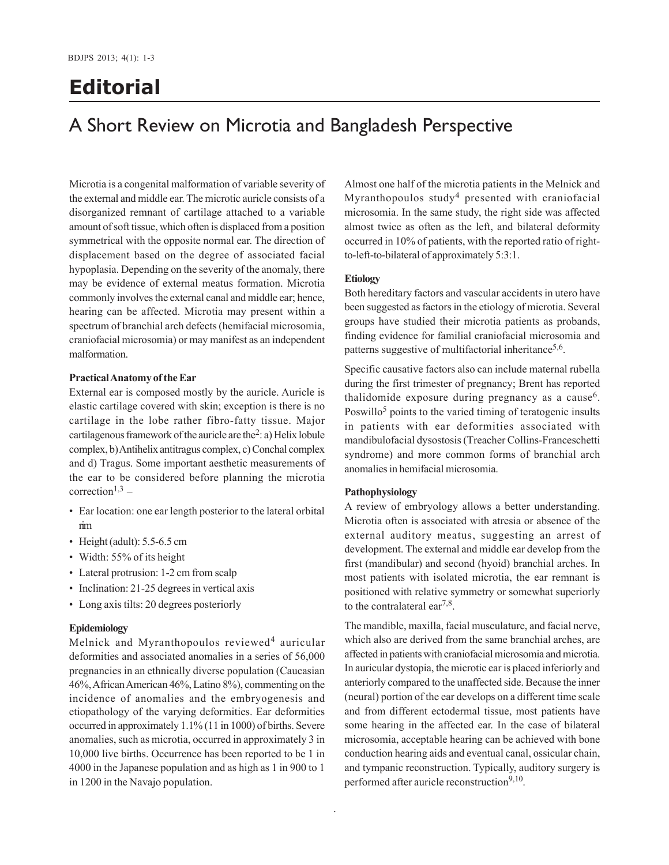# **Editorial**

## A Short Review on Microtia and Bangladesh Perspective

Microtia is a congenital malformation of variable severity of the external and middle ear. The microtic auricle consists of a disorganized remnant of cartilage attached to a variable amount of soft tissue, which often is displaced from a position symmetrical with the opposite normal ear. The direction of displacement based on the degree of associated facial hypoplasia. Depending on the severity of the anomaly, there may be evidence of external meatus formation. Microtia commonly involves the external canal and middle ear; hence, hearing can be affected. Microtia may present within a spectrum of branchial arch defects (hemifacial microsomia, craniofacial microsomia) or may manifest as an independent malformation.

## **Practical Anatomy of the Ear**

External ear is composed mostly by the auricle. Auricle is elastic cartilage covered with skin; exception is there is no cartilage in the lobe rather fibro-fatty tissue. Major cartilagenous framework of the auricle are the<sup>2</sup>: a) Helix lobule complex, b) Antihelix antitragus complex, c) Conchal complex and d) Tragus. Some important aesthetic measurements of the ear to be considered before planning the microtia  $correction<sup>1,3</sup>$  –

- Ear location: one ear length posterior to the lateral orbital rim
- Height (adult): 5.5-6.5 cm
- Width: 55% of its height
- Lateral protrusion: 1-2 cm from scalp
- Inclination: 21-25 degrees in vertical axis
- Long axis tilts: 20 degrees posteriorly

#### **Epidemiology**

Melnick and Myranthopoulos reviewed<sup>4</sup> auricular deformities and associated anomalies in a series of 56,000 pregnancies in an ethnically diverse population (Caucasian 46%, African American 46%, Latino 8%), commenting on the incidence of anomalies and the embryogenesis and etiopathology of the varying deformities. Ear deformities occurred in approximately 1.1% (11 in 1000) of births. Severe anomalies, such as microtia, occurred in approximately 3 in 10,000 live births. Occurrence has been reported to be 1 in 4000 in the Japanese population and as high as 1 in 900 to 1 in 1200 in the Navajo population.

Almost one half of the microtia patients in the Melnick and Myranthopoulos study<sup>4</sup> presented with craniofacial microsomia. In the same study, the right side was affected almost twice as often as the left, and bilateral deformity occurred in 10% of patients, with the reported ratio of rightto-left-to-bilateral of approximately 5:3:1.

#### **Etiology**

Both hereditary factors and vascular accidents in utero have been suggested as factors in the etiology of microtia. Several groups have studied their microtia patients as probands, finding evidence for familial craniofacial microsomia and patterns suggestive of multifactorial inheritance<sup>5,6</sup>.

Specific causative factors also can include maternal rubella during the first trimester of pregnancy; Brent has reported thalidomide exposure during pregnancy as a cause<sup>6</sup>. Poswillo<sup>5</sup> points to the varied timing of teratogenic insults in patients with ear deformities associated with mandibulofacial dysostosis (Treacher Collins-Franceschetti syndrome) and more common forms of branchial arch anomalies in hemifacial microsomia.

#### **Pathophysiology**

A review of embryology allows a better understanding. Microtia often is associated with atresia or absence of the external auditory meatus, suggesting an arrest of development. The external and middle ear develop from the first (mandibular) and second (hyoid) branchial arches. In most patients with isolated microtia, the ear remnant is positioned with relative symmetry or somewhat superiorly to the contralateral ear<sup>7,8</sup>.

The mandible, maxilla, facial musculature, and facial nerve, which also are derived from the same branchial arches, are affected in patients with craniofacial microsomia and microtia. In auricular dystopia, the microtic ear is placed inferiorly and anteriorly compared to the unaffected side. Because the inner (neural) portion of the ear develops on a different time scale and from different ectodermal tissue, most patients have some hearing in the affected ear. In the case of bilateral microsomia, acceptable hearing can be achieved with bone conduction hearing aids and eventual canal, ossicular chain, and tympanic reconstruction. Typically, auditory surgery is performed after auricle reconstruction<sup>9,10</sup>.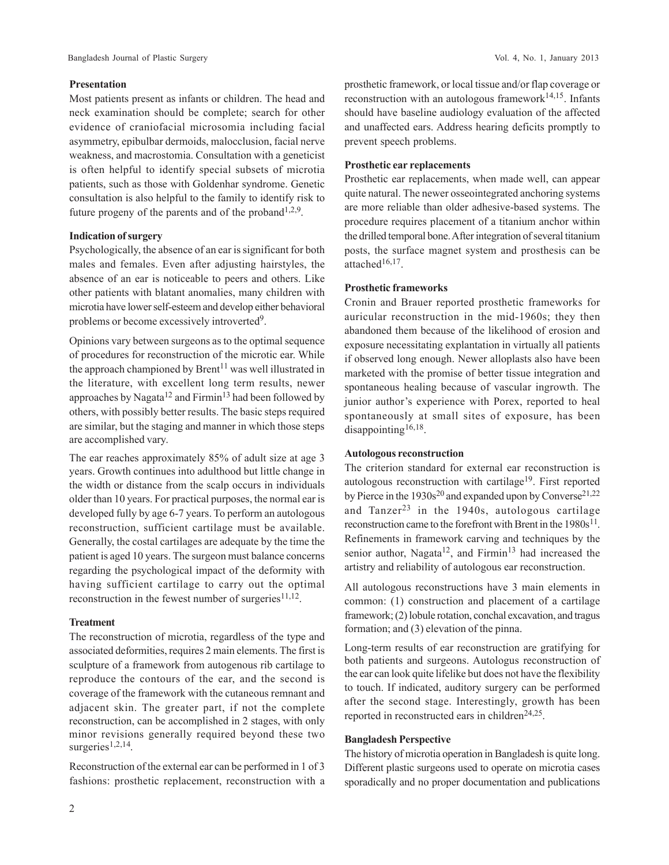#### **Presentation**

Most patients present as infants or children. The head and neck examination should be complete; search for other evidence of craniofacial microsomia including facial asymmetry, epibulbar dermoids, malocclusion, facial nerve weakness, and macrostomia. Consultation with a geneticist is often helpful to identify special subsets of microtia patients, such as those with Goldenhar syndrome. Genetic consultation is also helpful to the family to identify risk to future progeny of the parents and of the proband<sup>1,2,9</sup>.

## **Indication of surgery**

Psychologically, the absence of an ear is significant for both males and females. Even after adjusting hairstyles, the absence of an ear is noticeable to peers and others. Like other patients with blatant anomalies, many children with microtia have lower self-esteem and develop either behavioral problems or become excessively introverted<sup>9</sup>.

Opinions vary between surgeons as to the optimal sequence of procedures for reconstruction of the microtic ear. While the approach championed by  $Brent<sup>11</sup>$  was well illustrated in the literature, with excellent long term results, newer approaches by Nagata<sup>12</sup> and Firmin<sup>13</sup> had been followed by others, with possibly better results. The basic steps required are similar, but the staging and manner in which those steps are accomplished vary.

The ear reaches approximately 85% of adult size at age 3 years. Growth continues into adulthood but little change in the width or distance from the scalp occurs in individuals older than 10 years. For practical purposes, the normal ear is developed fully by age 6-7 years. To perform an autologous reconstruction, sufficient cartilage must be available. Generally, the costal cartilages are adequate by the time the patient is aged 10 years. The surgeon must balance concerns regarding the psychological impact of the deformity with having sufficient cartilage to carry out the optimal reconstruction in the fewest number of surgeries $11,12$ .

#### **Treatment**

The reconstruction of microtia, regardless of the type and associated deformities, requires 2 main elements. The first is sculpture of a framework from autogenous rib cartilage to reproduce the contours of the ear, and the second is coverage of the framework with the cutaneous remnant and adjacent skin. The greater part, if not the complete reconstruction, can be accomplished in 2 stages, with only minor revisions generally required beyond these two surgeries $1,2,14$ .

Reconstruction of the external ear can be performed in 1 of 3 fashions: prosthetic replacement, reconstruction with a

prosthetic framework, or local tissue and/or flap coverage or reconstruction with an autologous framework $14,15$ . Infants should have baseline audiology evaluation of the affected and unaffected ears. Address hearing deficits promptly to prevent speech problems.

## **Prosthetic ear replacements**

Prosthetic ear replacements, when made well, can appear quite natural. The newer osseointegrated anchoring systems are more reliable than older adhesive-based systems. The procedure requires placement of a titanium anchor within the drilled temporal bone. After integration of several titanium posts, the surface magnet system and prosthesis can be attached<sup>16,17</sup>.

## **Prosthetic frameworks**

Cronin and Brauer reported prosthetic frameworks for auricular reconstruction in the mid-1960s; they then abandoned them because of the likelihood of erosion and exposure necessitating explantation in virtually all patients if observed long enough. Newer alloplasts also have been marketed with the promise of better tissue integration and spontaneous healing because of vascular ingrowth. The junior author's experience with Porex, reported to heal spontaneously at small sites of exposure, has been disappointing<sup>16,18</sup>.

## **Autologous reconstruction**

The criterion standard for external ear reconstruction is autologous reconstruction with cartilage19. First reported by Pierce in the  $1930s^{20}$  and expanded upon by Converse<sup>21,22</sup> and Tanzer<sup>23</sup> in the 1940s, autologous cartilage reconstruction came to the forefront with Brent in the  $1980s^{11}$ . Refinements in framework carving and techniques by the senior author, Nagata<sup>12</sup>, and Firmin<sup>13</sup> had increased the artistry and reliability of autologous ear reconstruction.

All autologous reconstructions have 3 main elements in common: (1) construction and placement of a cartilage framework; (2) lobule rotation, conchal excavation, and tragus formation; and (3) elevation of the pinna.

Long-term results of ear reconstruction are gratifying for both patients and surgeons. Autologus reconstruction of the ear can look quite lifelike but does not have the flexibility to touch. If indicated, auditory surgery can be performed after the second stage. Interestingly, growth has been reported in reconstructed ears in children $24,25$ .

## **Bangladesh Perspective**

The history of microtia operation in Bangladesh is quite long. Different plastic surgeons used to operate on microtia cases sporadically and no proper documentation and publications